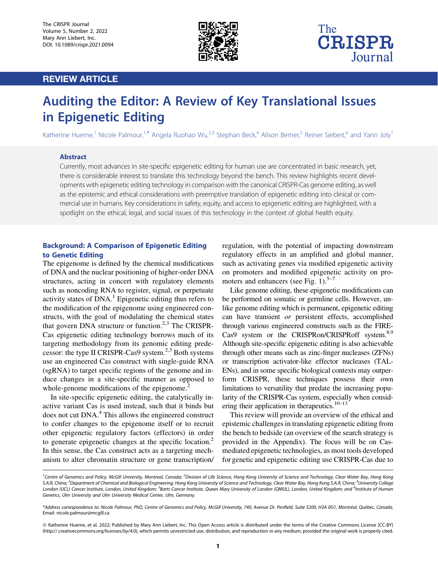



## REVIEW ARTICLE

# Auditing the Editor: A Review of Key Translational Issues in Epigenetic Editing

Katherine Huerne,<sup>1</sup> Nicole Palmour,<sup>1,\*</sup> Angela Ruohao Wu,<sup>2,3</sup> Stephan Beck,<sup>4</sup> Alison Berner,<sup>5</sup> Reiner Siebert,<sup>6</sup> and Yann Joly<sup>1</sup>

#### Abstract

Currently, most advances in site-specific epigenetic editing for human use are concentrated in basic research, yet, there is considerable interest to translate this technology beyond the bench. This review highlights recent developments with epigenetic editing technology in comparison with the canonical CRISPR-Cas genome editing, as well as the epistemic and ethical considerations with preemptive translation of epigenetic editing into clinical or commercial use in humans. Key considerations in safety, equity, and access to epigenetic editing are highlighted, with a spotlight on the ethical, legal, and social issues of this technology in the context of global health equity.

## Background: A Comparison of Epigenetic Editing to Genetic Editing

The epigenome is defined by the chemical modifications of DNA and the nuclear positioning of higher-order DNA structures, acting in concert with regulatory elements such as noncoding RNA to register, signal, or perpetuate activity states of  $DNA<sup>1</sup>$ . Epigenetic editing thus refers to the modification of the epigenome using engineered constructs, with the goal of modulating the chemical states that govern DNA structure or function.<sup>2,3</sup> The CRISPR-Cas epigenetic editing technology borrows much of its targeting methodology from its genomic editing predecessor: the type II CRISPR-Cas9 system.<sup>2,3</sup> Both systems use an engineered Cas construct with single-guide RNA (sgRNA) to target specific regions of the genome and induce changes in a site-specific manner as opposed to whole-genome modifications of the epigenome.<sup>2</sup>

In site-specific epigenetic editing, the catalytically inactive variant Cas is used instead, such that it binds but does not cut DNA.4 This allows the engineered construct to confer changes to the epigenome itself or to recruit other epigenetic regulatory factors (effectors) in order to generate epigenetic changes at the specific location.<sup>2</sup> In this sense, the Cas construct acts as a targeting mechanism to alter chromatin structure or gene transcription/ regulation, with the potential of impacting downstream regulatory effects in an amplified and global manner, such as activating genes via modified epigenetic activity on promoters and modified epigenetic activity on promoters and enhancers (see Fig. 1). $5-7$ 

Like genome editing, these epigenetic modifications can be performed on somatic or germline cells. However, unlike genome editing which is permanent, epigenetic editing can have transient *or* persistent effects, accomplished through various engineered constructs such as the FIRE-Cas9 system or the CRISPRon/CRISPRoff system.<sup>8,9</sup> Although site-specific epigenetic editing is also achievable through other means such as zinc-finger nucleases (ZFNs) or transcription activator-like effector nucleases (TAL-ENs), and in some specific biological contexts may outperform CRISPR, these techniques possess their own limitations to versatility that predate the increasing popularity of the CRISPR-Cas system, especially when considering their application in therapeutics. $10-13$ 

This review will provide an overview of the ethical and epistemic challenges in translating epigenetic editing from the bench to bedside (an overview of the search strategy is provided in the Appendix). The focus will be on Casmediated epigenetic technologies, as most tools developed for genetic and epigenetic editing use CRISPR-Cas due to

ª Katherine Huerne, et al. 2022; Published by Mary Ann Liebert, Inc. This Open Access article is distributed under the terms of the Creative Commons License [CC-BY] (<http:// creativecommons.org/licenses/by/4.0>), which permits unrestricted use, distribution, and reproduction in any medium, provided the original work is properly cited.

<sup>&</sup>lt;sup>1</sup>Centre of Genomics and Policy, McGill University, Montreal, Canada; <sup>2</sup>Division of Life Science, Hong Kong Kongg University of Science and Technology, Clear Water Bay, Hong Kong S.A.R, China; <sup>3</sup>Department of Chemical and Biological Engineering, Hong Kong University of Science and Technology, Clear Water Bay, Hong Kong S.A.R, China; <sup>4</sup>University College London (UCL) Cancer Institute, London, United Kingdom; <sup>s</sup>Barts Cancer Institute, Queen Mary University of London (QMUL), London, United Kingdom; and <sup>6</sup>Institute of Human Genetics, Ulm University and Ulm University Medical Center, Ulm, Germany.

<sup>\*</sup>Address correspondence to: Nicole Palmour, PhD, Centre of Genomics and Policy, McGill University, 740, Avenue Dr. Penfield, Suite 5200, H3A 0G1, Montréal, Québec, Canada, Email: nicole.palmour@mcgill.ca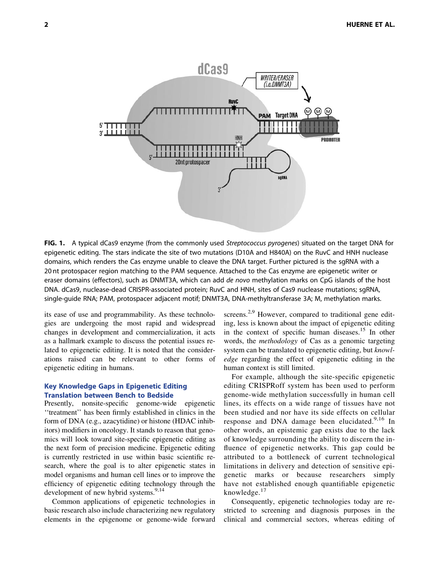

FIG. 1. A typical dCas9 enzyme (from the commonly used Streptococcus pyrogenes) situated on the target DNA for epigenetic editing. The stars indicate the site of two mutations (D10A and H840A) on the RuvC and HNH nuclease domains, which renders the Cas enzyme unable to cleave the DNA target. Further pictured is the sgRNA with a 20 nt protospacer region matching to the PAM sequence. Attached to the Cas enzyme are epigenetic writer or eraser domains (effectors), such as DNMT3A, which can add de novo methylation marks on CpG islands of the host DNA. dCas9, nuclease-dead CRISPR-associated protein; RuvC and HNH, sites of Cas9 nuclease mutations; sgRNA, single-guide RNA; PAM, protospacer adjacent motif; DNMT3A, DNA-methyltransferase 3A; M, methylation marks.

its ease of use and programmability. As these technologies are undergoing the most rapid and widespread changes in development and commercialization, it acts as a hallmark example to discuss the potential issues related to epigenetic editing. It is noted that the considerations raised can be relevant to other forms of epigenetic editing in humans.

## Key Knowledge Gaps in Epigenetic Editing Translation between Bench to Bedside

Presently, nonsite-specific genome-wide epigenetic ''treatment'' has been firmly established in clinics in the form of DNA (e.g., azacytidine) or histone (HDAC inhibitors) modifiers in oncology. It stands to reason that genomics will look toward site-specific epigenetic editing as the next form of precision medicine. Epigenetic editing is currently restricted in use within basic scientific research, where the goal is to alter epigenetic states in model organisms and human cell lines or to improve the efficiency of epigenetic editing technology through the development of new hybrid systems.<sup>9,14</sup>

Common applications of epigenetic technologies in basic research also include characterizing new regulatory elements in the epigenome or genome-wide forward screens.<sup>2,9</sup> However, compared to traditional gene editing, less is known about the impact of epigenetic editing in the context of specific human diseases.<sup>15</sup> In other words, the *methodology* of Cas as a genomic targeting system can be translated to epigenetic editing, but *knowledge* regarding the effect of epigenetic editing in the human context is still limited.

For example, although the site-specific epigenetic editing CRISPRoff system has been used to perform genome-wide methylation successfully in human cell lines, its effects on a wide range of tissues have not been studied and nor have its side effects on cellular response and DNA damage been elucidated.<sup>9,16</sup> In other words, an epistemic gap exists due to the lack of knowledge surrounding the ability to discern the influence of epigenetic networks. This gap could be attributed to a bottleneck of current technological limitations in delivery and detection of sensitive epigenetic marks or because researchers simply have not established enough quantifiable epigenetic knowledge.<sup>17</sup>

Consequently, epigenetic technologies today are restricted to screening and diagnosis purposes in the clinical and commercial sectors, whereas editing of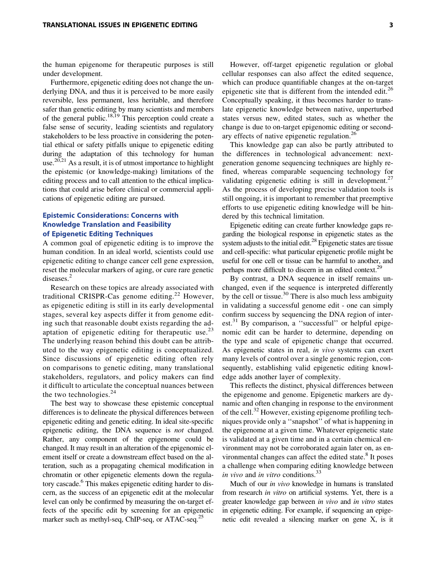the human epigenome for therapeutic purposes is still under development.

Furthermore, epigenetic editing does not change the underlying DNA, and thus it is perceived to be more easily reversible, less permanent, less heritable, and therefore safer than genetic editing by many scientists and members of the general public.18,19 This perception could create a false sense of security, leading scientists and regulatory stakeholders to be less proactive in considering the potential ethical or safety pitfalls unique to epigenetic editing during the adaptation of this technology for human use.<sup>20,21</sup> As a result, it is of utmost importance to highlight the epistemic (or knowledge-making) limitations of the editing process and to call attention to the ethical implications that could arise before clinical or commercial applications of epigenetic editing are pursued.

## Epistemic Considerations: Concerns with Knowledge Translation and Feasibility of Epigenetic Editing Techniques

A common goal of epigenetic editing is to improve the human condition. In an ideal world, scientists could use epigenetic editing to change cancer cell gene expression, reset the molecular markers of aging, or cure rare genetic diseases.<sup>2</sup>

Research on these topics are already associated with traditional CRISPR-Cas genome editing.<sup>22</sup> However, as epigenetic editing is still in its early developmental stages, several key aspects differ it from genome editing such that reasonable doubt exists regarding the adaptation of epigenetic editing for therapeutic use. $23$ The underlying reason behind this doubt can be attributed to the way epigenetic editing is conceptualized. Since discussions of epigenetic editing often rely on comparisons to genetic editing, many translational stakeholders, regulators, and policy makers can find it difficult to articulate the conceptual nuances between the two technologies. $2<sup>4</sup>$ 

The best way to showcase these epistemic conceptual differences is to delineate the physical differences between epigenetic editing and genetic editing. In ideal site-specific epigenetic editing, the DNA sequence is *not* changed. Rather, any component of the epigenome could be changed. It may result in an alteration of the epigenomic element itself or create a downstream effect based on the alteration, such as a propagating chemical modification in chromatin or other epigenetic elements down the regulatory cascade.<sup>6</sup> This makes epigenetic editing harder to discern, as the success of an epigenetic edit at the molecular level can only be confirmed by measuring the on-target effects of the specific edit by screening for an epigenetic marker such as methyl-seq, ChIP-seq, or ATAC-seq.<sup>25</sup>

However, off-target epigenetic regulation or global cellular responses can also affect the edited sequence, which can produce quantifiable changes at the on-target epigenetic site that is different from the intended edit.<sup>26</sup> Conceptually speaking, it thus becomes harder to translate epigenetic knowledge between native, unperturbed states versus new, edited states, such as whether the change is due to on-target epigenomic editing or secondary effects of native epigenetic regulation.<sup>26</sup>

This knowledge gap can also be partly attributed to the differences in technological advancement: nextgeneration genome sequencing techniques are highly refined, whereas comparable sequencing technology for validating epigenetic editing is still in development.<sup>27</sup> As the process of developing precise validation tools is still ongoing, it is important to remember that preemptive efforts to use epigenetic editing knowledge will be hindered by this technical limitation.

Epigenetic editing can create further knowledge gaps regarding the biological response in epigenetic states as the system adjusts to the initial edit.<sup>28</sup> Epigenetic states are tissue and cell-specific: what particular epigenetic profile might be useful for one cell or tissue can be harmful to another, and perhaps more difficult to discern in an edited context.<sup>29</sup>

By contrast, a DNA sequence in itself remains unchanged, even if the sequence is interpreted differently by the cell or tissue.<sup>30</sup> There is also much less ambiguity in validating a successful genome edit - one can simply confirm success by sequencing the DNA region of interest. $31$  By comparison, a "successful" or helpful epigenomic edit can be harder to determine, depending on the type and scale of epigenetic change that occurred. As epigenetic states in real, *in vivo* systems can exert many levels of control over a single genomic region, consequently, establishing valid epigenetic editing knowledge adds another layer of complexity.

This reflects the distinct, physical differences between the epigenome and genome. Epigenetic markers are dynamic and often changing in response to the environment of the cell.<sup>32</sup> However, existing epigenome profiling techniques provide only a ''snapshot'' of what is happening in the epigenome at a given time. Whatever epigenetic state is validated at a given time and in a certain chemical environment may not be corroborated again later on, as environmental changes can affect the edited state. $8$  It poses a challenge when comparing editing knowledge between *in vivo* and *in vitro* conditions.<sup>33</sup>

Much of our *in vivo* knowledge in humans is translated from research *in vitro* on artificial systems. Yet, there is a greater knowledge gap between *in vivo* and *in vitro* states in epigenetic editing. For example, if sequencing an epigenetic edit revealed a silencing marker on gene X, is it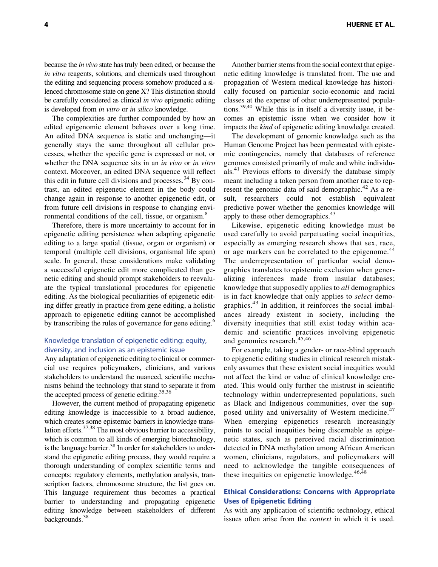because the *in vivo* state has truly been edited, or because the *in vitro* reagents, solutions, and chemicals used throughout the editing and sequencing process somehow produced a silenced chromosome state on gene X? This distinction should be carefully considered as clinical *in vivo* epigenetic editing is developed from *in vitro* or *in silico* knowledge.

The complexities are further compounded by how an edited epigenomic element behaves over a long time. An edited DNA sequence is static and unchanging—it generally stays the same throughout all cellular processes, whether the specific gene is expressed or not, or whether the DNA sequence sits in an *in vivo* or *in vitro* context. Moreover, an edited DNA sequence will reflect this edit in future cell divisions and processes.<sup>34</sup> By contrast, an edited epigenetic element in the body could change again in response to another epigenetic edit, or from future cell divisions in response to changing environmental conditions of the cell, tissue, or organism.<sup>8</sup>

Therefore, there is more uncertainty to account for in epigenetic editing persistence when adapting epigenetic editing to a large spatial (tissue, organ or organism) or temporal (multiple cell divisions, organismal life span) scale. In general, these considerations make validating a successful epigenetic edit more complicated than genetic editing and should prompt stakeholders to reevaluate the typical translational procedures for epigenetic editing. As the biological peculiarities of epigenetic editing differ greatly in practice from gene editing, a holistic approach to epigenetic editing cannot be accomplished by transcribing the rules of governance for gene editing.<sup>6</sup>

#### Knowledge translation of epigenetic editing: equity, diversity, and inclusion as an epistemic issue

Any adaptation of epigenetic editing to clinical or commercial use requires policymakers, clinicians, and various stakeholders to understand the nuanced, scientific mechanisms behind the technology that stand to separate it from the accepted process of genetic editing.<sup>35,36</sup>

However, the current method of propagating epigenetic editing knowledge is inaccessible to a broad audience, which creates some epistemic barriers in knowledge translation efforts. $37,38$  The most obvious barrier to accessibility, which is common to all kinds of emerging biotechnology, is the language barrier.<sup>38</sup> In order for stakeholders to understand the epigenetic editing process, they would require a thorough understanding of complex scientific terms and concepts: regulatory elements, methylation analysis, transcription factors, chromosome structure, the list goes on. This language requirement thus becomes a practical barrier to understanding and propagating epigenetic editing knowledge between stakeholders of different backgrounds.<sup>38</sup>

Another barrier stems from the social context that epigenetic editing knowledge is translated from. The use and propagation of Western medical knowledge has historically focused on particular socio-economic and racial classes at the expense of other underrepresented populations.39,40 While this is in itself a diversity issue, it becomes an epistemic issue when we consider how it impacts the *kind* of epigenetic editing knowledge created.

The development of genomic knowledge such as the Human Genome Project has been permeated with epistemic contingencies, namely that databases of reference genomes consisted primarily of male and white individuals.<sup>41</sup> Previous efforts to diversify the database simply meant including a token person from another race to represent the genomic data of said demographic.<sup>42</sup> As a result, researchers could not establish equivalent predictive power whether the genomics knowledge will apply to these other demographics.<sup>43</sup>

Likewise, epigenetic editing knowledge must be used carefully to avoid perpetuating social inequities, especially as emerging research shows that sex, race, or age markers can be correlated to the epigenome.<sup>44</sup> The underrepresentation of particular social demographics translates to epistemic exclusion when generalizing inferences made from insular databases; knowledge that supposedly applies to *all* demographics is in fact knowledge that only applies to *select* demographics. $43$  In addition, it reinforces the social imbalances already existent in society, including the diversity inequities that still exist today within academic and scientific practices involving epigenetic and genomics research.<sup>45,46</sup>

For example, taking a gender- or race-blind approach to epigenetic editing studies in clinical research mistakenly assumes that these existent social inequities would not affect the kind or value of clinical knowledge created. This would only further the mistrust in scientific technology within underrepresented populations, such as Black and Indigenous communities, over the supposed utility and universality of Western medicine.<sup>47</sup> When emerging epigenetics research increasingly points to social inequities being discernable as epigenetic states, such as perceived racial discrimination detected in DNA methylation among African American women, clinicians, regulators, and policymakers will need to acknowledge the tangible consequences of these inequities on epigenetic knowledge. $46,48$ 

## Ethical Considerations: Concerns with Appropriate Uses of Epigenetic Editing

As with any application of scientific technology, ethical issues often arise from the *context* in which it is used.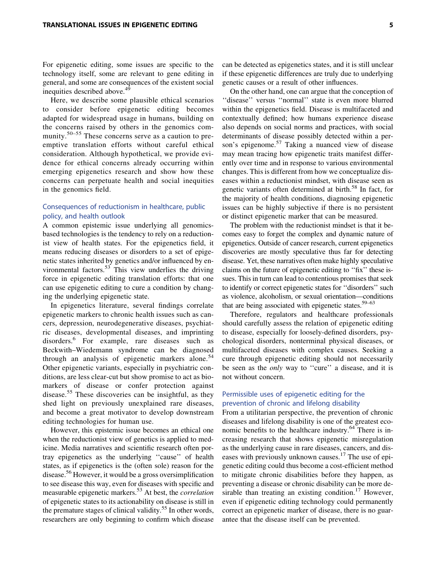For epigenetic editing, some issues are specific to the technology itself, some are relevant to gene editing in general, and some are consequences of the existent social inequities described above.<sup>49</sup>

Here, we describe some plausible ethical scenarios to consider before epigenetic editing becomes adapted for widespread usage in humans, building on the concerns raised by others in the genomics community.<sup>50–55</sup> These concerns serve as a caution to preemptive translation efforts without careful ethical consideration. Although hypothetical, we provide evidence for ethical concerns already occurring within emerging epigenetics research and show how these concerns can perpetuate health and social inequities in the genomics field.

#### Consequences of reductionism in healthcare, public policy, and health outlook

A common epistemic issue underlying all genomicsbased technologies is the tendency to rely on a reductionist view of health states. For the epigenetics field, it means reducing diseases or disorders to a set of epigenetic states inherited by genetics and/or influenced by environmental factors.<sup>53</sup> This view underlies the driving force in epigenetic editing translation efforts: that one can use epigenetic editing to cure a condition by changing the underlying epigenetic state.

In epigenetics literature, several findings correlate epigenetic markers to chronic health issues such as cancers, depression, neurodegenerative diseases, psychiatric diseases, developmental diseases, and imprinting disorders.<sup>6</sup> For example, rare diseases such as Beckwith–Wiedemann syndrome can be diagnosed through an analysis of epigenetic markers alone. $54$ Other epigenetic variants, especially in psychiatric conditions, are less clear-cut but show promise to act as biomarkers of disease or confer protection against disease.<sup>55</sup> These discoveries can be insightful, as they shed light on previously unexplained rare diseases, and become a great motivator to develop downstream editing technologies for human use.

However, this epistemic issue becomes an ethical one when the reductionist view of genetics is applied to medicine. Media narratives and scientific research often portray epigenetics as the underlying ''cause'' of health states, as if epigenetics is the (often sole) reason for the disease.<sup>56</sup> However, it would be a gross oversimplification to see disease this way, even for diseases with specific and measurable epigenetic markers.53 At best, the *correlation* of epigenetic states to its actionability on disease is still in the premature stages of clinical validity.<sup>55</sup> In other words, researchers are only beginning to confirm which disease

can be detected as epigenetics states, and it is still unclear if these epigenetic differences are truly due to underlying genetic causes or a result of other influences.

On the other hand, one can argue that the conception of "disease" versus "normal" state is even more blurred within the epigenetics field. Disease is multifaceted and contextually defined; how humans experience disease also depends on social norms and practices, with social determinants of disease possibly detected within a person's epigenome.<sup>57</sup> Taking a nuanced view of disease may mean tracing how epigenetic traits manifest differently over time and in response to various environmental changes. This is different from how we conceptualize diseases within a reductionist mindset, with disease seen as genetic variants often determined at birth.<sup>58</sup> In fact, for the majority of health conditions, diagnosing epigenetic issues can be highly subjective if there is no persistent or distinct epigenetic marker that can be measured.

The problem with the reductionist mindset is that it becomes easy to forget the complex and dynamic nature of epigenetics. Outside of cancer research, current epigenetics discoveries are mostly speculative thus far for detecting disease. Yet, these narratives often make highly speculative claims on the future of epigenetic editing to ''fix'' these issues. This in turn can lead to contentious promises that seek to identify or correct epigenetic states for ''disorders'' such as violence, alcoholism, or sexual orientation—conditions that are being associated with epigenetic states. $59-63$ 

Therefore, regulators and healthcare professionals should carefully assess the relation of epigenetic editing to disease, especially for loosely-defined disorders, psychological disorders, nonterminal physical diseases, or multifaceted diseases with complex causes. Seeking a cure through epigenetic editing should not necessarily be seen as the *only* way to ''cure'' a disease, and it is not without concern.

## Permissible uses of epigenetic editing for the prevention of chronic and lifelong disability

From a utilitarian perspective, the prevention of chronic diseases and lifelong disability is one of the greatest economic benefits to the healthcare industry.<sup>64</sup> There is increasing research that shows epigenetic misregulation as the underlying cause in rare diseases, cancers, and diseases with previously unknown causes.<sup>17</sup> The use of epigenetic editing could thus become a cost-efficient method to mitigate chronic disabilities before they happen, as preventing a disease or chronic disability can be more desirable than treating an existing condition.<sup>17</sup> However, even if epigenetic editing technology could permanently correct an epigenetic marker of disease, there is no guarantee that the disease itself can be prevented.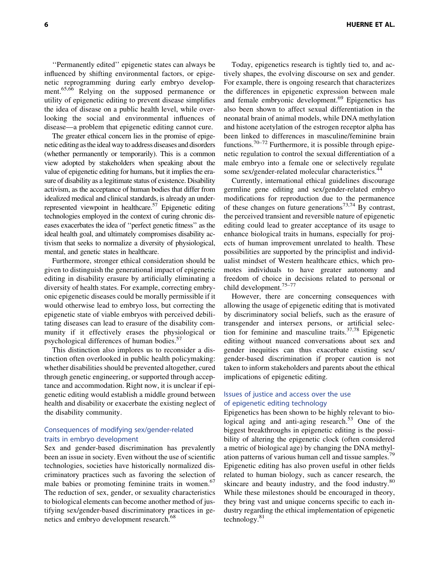''Permanently edited'' epigenetic states can always be influenced by shifting environmental factors, or epigenetic reprogramming during early embryo development.<sup>65,66</sup> Relying on the supposed permanence or utility of epigenetic editing to prevent disease simplifies the idea of disease on a public health level, while overlooking the social and environmental influences of disease—a problem that epigenetic editing cannot cure.

The greater ethical concern lies in the promise of epigenetic editing astheideal wayto address diseases and disorders (whether permanently or temporarily). This is a common view adopted by stakeholders when speaking about the value of epigenetic editing for humans, but it implies the erasure of disability as a legitimate status of existence. Disability activism, as the acceptance of human bodies that differ from idealized medical and clinical standards, is already an underrepresented viewpoint in healthcare.<sup>57</sup> Epigenetic editing technologies employed in the context of curing chronic diseases exacerbates the idea of ''perfect genetic fitness'' as the ideal health goal, and ultimately compromises disability activism that seeks to normalize a diversity of physiological, mental, and genetic states in healthcare.

Furthermore, stronger ethical consideration should be given to distinguish the generational impact of epigenetic editing in disability erasure by artificially eliminating a diversity of health states. For example, correcting embryonic epigenetic diseases could be morally permissible if it would otherwise lead to embryo loss, but correcting the epigenetic state of viable embryos with perceived debilitating diseases can lead to erasure of the disability community if it effectively erases the physiological or psychological differences of human bodies.<sup>57</sup>

This distinction also implores us to reconsider a distinction often overlooked in public health policymaking: whether disabilities should be prevented altogether, cured through genetic engineering, or supported through acceptance and accommodation. Right now, it is unclear if epigenetic editing would establish a middle ground between health and disability or exacerbate the existing neglect of the disability community.

### Consequences of modifying sex/gender-related traits in embryo development

Sex and gender-based discrimination has prevalently been an issue in society. Even without the use of scientific technologies, societies have historically normalized discriminatory practices such as favoring the selection of male babies or promoting feminine traits in women. $67$ The reduction of sex, gender, or sexuality characteristics to biological elements can become another method of justifying sex/gender-based discriminatory practices in genetics and embryo development research.<sup>68</sup>

Today, epigenetics research is tightly tied to, and actively shapes, the evolving discourse on sex and gender. For example, there is ongoing research that characterizes the differences in epigenetic expression between male and female embryonic development.<sup>69</sup> Epigenetics has also been shown to affect sexual differentiation in the neonatal brain of animal models, while DNA methylation and histone acetylation of the estrogen receptor alpha has been linked to differences in masculine/feminine brain functions.<sup>70–72</sup> Furthermore, it is possible through epigenetic regulation to control the sexual differentiation of a male embryo into a female one or selectively regulate some sex/gender-related molecular characteristics.<sup>44</sup>

Currently, international ethical guidelines discourage germline gene editing and sex/gender-related embryo modifications for reproduction due to the permanence of these changes on future generations<sup>73,74</sup> By contrast, the perceived transient and reversible nature of epigenetic editing could lead to greater acceptance of its usage to enhance biological traits in humans, especially for projects of human improvement unrelated to health. These possibilities are supported by the principlist and individualist mindset of Western healthcare ethics, which promotes individuals to have greater autonomy and freedom of choice in decisions related to personal or child development.75–77

However, there are concerning consequences with allowing the usage of epigenetic editing that is motivated by discriminatory social beliefs, such as the erasure of transgender and intersex persons, or artificial selection for feminine and masculine traits. $37,78$  Epigenetic editing without nuanced conversations about sex and gender inequities can thus exacerbate existing sex/ gender-based discrimination if proper caution is not taken to inform stakeholders and parents about the ethical implications of epigenetic editing.

### Issues of justice and access over the use of epigenetic editing technology

Epigenetics has been shown to be highly relevant to biological aging and anti-aging research.<sup>53</sup> One of the biggest breakthroughs in epigenetic editing is the possibility of altering the epigenetic clock (often considered a metric of biological age) by changing the DNA methylation patterns of various human cell and tissue samples.<sup>79</sup> Epigenetic editing has also proven useful in other fields related to human biology, such as cancer research, the skincare and beauty industry, and the food industry.<sup>80</sup> While these milestones should be encouraged in theory, they bring vast and unique concerns specific to each industry regarding the ethical implementation of epigenetic technology. $81$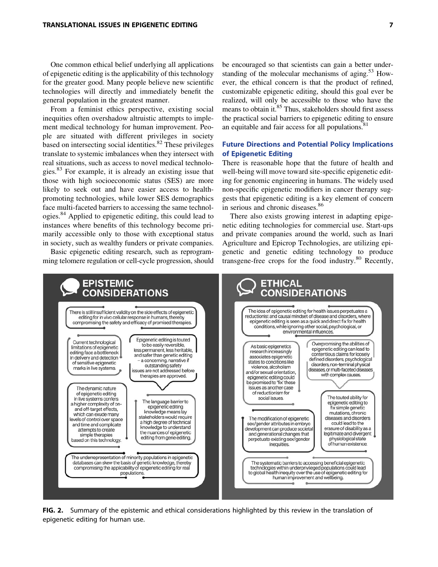One common ethical belief underlying all applications of epigenetic editing is the applicability of this technology for the greater good. Many people believe new scientific technologies will directly and immediately benefit the general population in the greatest manner.

From a feminist ethics perspective, existing social inequities often overshadow altruistic attempts to implement medical technology for human improvement. People are situated with different privileges in society based on intersecting social identities. $82$  These privileges translate to systemic imbalances when they intersect with real situations, such as access to novel medical technologies.<sup>83</sup> For example, it is already an existing issue that those with high socioeconomic status (SES) are more likely to seek out and have easier access to healthpromoting technologies, while lower SES demographics face multi-faceted barriers to accessing the same technologies.<sup>84</sup> Applied to epigenetic editing, this could lead to instances where benefits of this technology become primarily accessible only to those with exceptional status in society, such as wealthy funders or private companies.

Basic epigenetic editing research, such as reprogramming telomere regulation or cell-cycle progression, should be encouraged so that scientists can gain a better understanding of the molecular mechanisms of aging.<sup>53</sup> However, the ethical concern is that the product of refined, customizable epigenetic editing, should this goal ever be realized, will only be accessible to those who have the means to obtain it.<sup>85</sup> Thus, stakeholders should first assess the practical social barriers to epigenetic editing to ensure an equitable and fair access for all populations.<sup>81</sup>

#### Future Directions and Potential Policy Implications of Epigenetic Editing

There is reasonable hope that the future of health and well-being will move toward site-specific epigenetic editing for genomic engineering in humans. The widely used non-specific epigenetic modifiers in cancer therapy suggests that epigenetic editing is a key element of concern in serious and chronic diseases.<sup>86</sup>

There also exists growing interest in adapting epigenetic editing technologies for commercial use. Start-ups and private companies around the world, such as Inari Agriculture and Epicrop Technologies, are utilizing epigenetic and genetic editing technology to produce transgene-free crops for the food industry.<sup>80</sup> Recently,



FIG. 2. Summary of the epistemic and ethical considerations highlighted by this review in the translation of epigenetic editing for human use.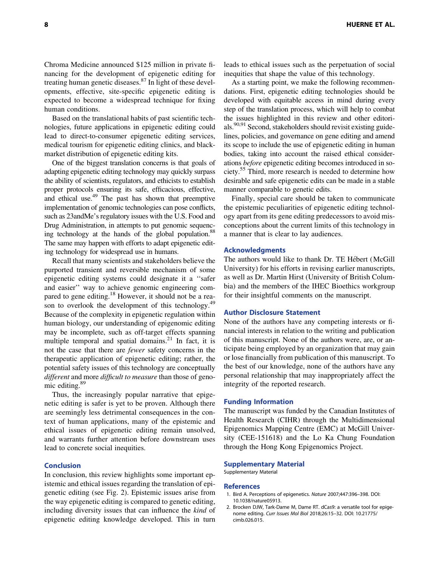Chroma Medicine announced \$125 million in private financing for the development of epigenetic editing for treating human genetic diseases.<sup>87</sup> In light of these developments, effective, site-specific epigenetic editing is expected to become a widespread technique for fixing human conditions.

Based on the translational habits of past scientific technologies, future applications in epigenetic editing could lead to direct-to-consumer epigenetic editing services, medical tourism for epigenetic editing clinics, and blackmarket distribution of epigenetic editing kits.

One of the biggest translation concerns is that goals of adapting epigenetic editing technology may quickly surpass the ability of scientists, regulators, and ethicists to establish proper protocols ensuring its safe, efficacious, effective, and ethical use.49 The past has shown that preemptive implementation of genomic technologies can pose conflicts, such as 23andMe's regulatory issues with the U.S. Food and Drug Administration, in attempts to put genomic sequencing technology at the hands of the global population.<sup>88</sup> The same may happen with efforts to adapt epigenetic editing technology for widespread use in humans.

Recall that many scientists and stakeholders believe the purported transient and reversible mechanism of some epigenetic editing systems could designate it a ''safer and easier'' way to achieve genomic engineering compared to gene editing.<sup>18</sup> However, it should not be a reason to overlook the development of this technology.<sup>49</sup> Because of the complexity in epigenetic regulation within human biology, our understanding of epigenomic editing may be incomplete, such as off-target effects spanning multiple temporal and spatial domains.<sup>21</sup> In fact, it is not the case that there are *fewer* safety concerns in the therapeutic application of epigenetic editing; rather, the potential safety issues of this technology are conceptually *different* and more *difficult to measure* than those of genomic editing.<sup>89</sup>

Thus, the increasingly popular narrative that epigenetic editing is safer is yet to be proven. Although there are seemingly less detrimental consequences in the context of human applications, many of the epistemic and ethical issues of epigenetic editing remain unsolved, and warrants further attention before downstream uses lead to concrete social inequities.

#### Conclusion

In conclusion, this review highlights some important epistemic and ethical issues regarding the translation of epigenetic editing (see Fig. 2). Epistemic issues arise from the way epigenetic editing is compared to genetic editing, including diversity issues that can influence the *kind* of epigenetic editing knowledge developed. This in turn leads to ethical issues such as the perpetuation of social inequities that shape the value of this technology.

As a starting point, we make the following recommendations. First, epigenetic editing technologies should be developed with equitable access in mind during every step of the translation process, which will help to combat the issues highlighted in this review and other editorials.<sup>90,91</sup> Second, stakeholders should revisit existing guidelines, policies, and governance on gene editing and amend its scope to include the use of epigenetic editing in human bodies, taking into account the raised ethical considerations *before* epigenetic editing becomes introduced in society.<sup>55</sup> Third, more research is needed to determine how desirable and safe epigenetic edits can be made in a stable manner comparable to genetic edits.

Finally, special care should be taken to communicate the epistemic peculiarities of epigenetic editing technology apart from its gene editing predecessors to avoid misconceptions about the current limits of this technology in a manner that is clear to lay audiences.

#### Acknowledgments

The authors would like to thank Dr. TE Hébert (McGill University) for his efforts in revising earlier manuscripts, as well as Dr. Martin Hirst (University of British Columbia) and the members of the IHEC Bioethics workgroup for their insightful comments on the manuscript.

#### Author Disclosure Statement

None of the authors have any competing interests or financial interests in relation to the writing and publication of this manuscript. None of the authors were, are, or anticipate being employed by an organization that may gain or lose financially from publication of this manuscript. To the best of our knowledge, none of the authors have any personal relationship that may inappropriately affect the integrity of the reported research.

#### Funding Information

The manuscript was funded by the Canadian Institutes of Health Research (CIHR) through the Multidimensional Epigenomics Mapping Centre (EMC) at McGill University (CEE-151618) and the Lo Ka Chung Foundation through the Hong Kong Epigenomics Project.

#### Supplementary Material

Supplementary Material

#### References

- 1. Bird A. Perceptions of epigenetics. Nature 2007;447:396–398. DOI: 10.1038/nature05913.
- 2. Brocken DJW, Tark-Dame M, Dame RT. dCas9: a versatile tool for epigenome editing. Curr Issues Mol Biol 2018;26:15–32. DOI: 10.21775/ cimb.026.015.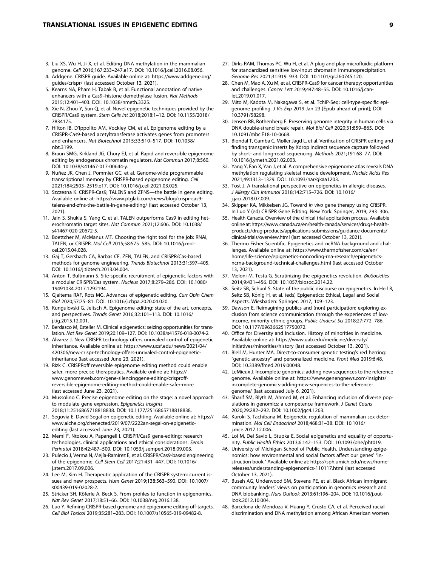- 3. Liu XS, Wu H, Ji X, et al. Editing DNA methylation in the mammalian genome. Cell 2016;167:233–247.e17. DOI: 10.1016/j.cell.2016.08.056.
- 4. Addgene. CRISPR guide. Available online at: [https://www.addgene.org/](https://www.addgene.org/guides/crispr/) [guides/crispr/](https://www.addgene.org/guides/crispr/) (last accessed October 13, 2021).
- 5. Kearns NA, Pham H, Tabak B, et al. Functional annotation of native enhancers with a Cas9–histone demethylase fusion. Nat Methods 2015;12:401–403. DOI: 10.1038/nmeth.3325.
- 6. Xie N, Zhou Y, Sun Q, et al. Novel epigenetic techniques provided by the CRISPR/Cas9 system. Stem Cells Int 2018;2018:1–12. DOI: 10.1155/2018/ 7834175.
- 7. Hilton IB, D'Ippolito AM, Vockley CM, et al. Epigenome editing by a CRISPR-Cas9-based acetyltransferase activates genes from promoters and enhancers. Nat Biotechnol 2015;33:510–517. DOI: 10.1038/ nbt.3199.
- 8. Braun SMG, Kirkland JG, Chory EJ, et al. Rapid and reversible epigenome editing by endogenous chromatin regulators. Nat Commun 2017;8:560. DOI: 10.1038/s41467-017-00644-y.
- 9. Nuñez JK, Chen J, Pommier GC, et al. Genome-wide programmable transcriptional memory by CRISPR-based epigenome editing. Cell 2021;184:2503–2519.e17. DOI: 10.1016/j.cell.2021.03.025.
- 10. Szczesna K. CRISPR-Cas9, TALENS and ZFNS—the battle in gene editing. Available online at: [https://www.ptglab.com/news/blog/crispr-cas9](https://www.ptglab.com/news/blog/crispr-cas9-talens-and-zfns-the-battle-in-gene-editing/) [talens-and-zfns-the-battle-in-gene-editing/](https://www.ptglab.com/news/blog/crispr-cas9-talens-and-zfns-the-battle-in-gene-editing/) (last accessed October 13, 2021).
- 11. Jain S, Shukla S, Yang C, et al. TALEN outperforms Cas9 in editing heterochromatin target sites. Nat Commun 2021;12:606. DOI: 10.1038/ s41467-020-20672-5.
- 12. Boettcher M, McManus MT. Choosing the right tool for the job: RNAi, TALEN, or CRISPR. Mol Cell 2015;58:575–585. DOI: 10.1016/j.molcel.2015.04.028.
- 13. Gaj T, Gersbach CA, Barbas CF. ZFN, TALEN, and CRISPR/Cas-based methods for genome engineering. Trends Biotechnol 2013;31:397–405. DOI: 10.1016/j.tibtech.2013.04.004.
- 14. Anton T, Bultmann S. Site-specific recruitment of epigenetic factors with a modular CRISPR/Cas system. Nucleus 2017;8:279–286. DOI: 10.1080/ 19491034.2017.1292194.
- 15. Gjaltema RAF, Rots MG. Advances of epigenetic editing. Curr Opin Chem Biol 2020;57:75–81. DOI: 10.1016/j.cbpa.2020.04.020.
- 16. Kungulovski G, Jeltsch A. Epigenome editing: state of the art, concepts, and perspectives. Trends Genet 2016;32:101–113. DOI: 10.1016/ j.tig.2015.12.001.
- 17. Berdasco M, Esteller M. Clinical epigenetics: seizing opportunities for translation. Nat Rev Genet 2019;20:109–127. DOI: 10.1038/s41576-018-0074-2.
- 18. Alvarez J. New CRISPR technology offers unrivaled control of epigenetic inheritance. Available online at: [https://www.ucsf.edu/news/2021/04/](https://www.ucsf.edu/news/2021/04/420306/new-crispr-technology-offers-unrivaled-control-epigenetic-inheritance) [420306/new-crispr-technology-offers-unrivaled-control-epigenetic](https://www.ucsf.edu/news/2021/04/420306/new-crispr-technology-offers-unrivaled-control-epigenetic-inheritance)[inheritance](https://www.ucsf.edu/news/2021/04/420306/new-crispr-technology-offers-unrivaled-control-epigenetic-inheritance) (last accessed June 23, 2021).
- 19. Rizk C. CRISPRoff reversible epigenome editing method could enable safer, more precise therapeutics. Available online at: [https://](https://www.genomeweb.com/gene-silencinggene-editing/crisproff-reversible-epigenome-editing-method-could-enable-safer-more) [www.genomeweb.com/gene-silencinggene-editing/crisproff](https://www.genomeweb.com/gene-silencinggene-editing/crisproff-reversible-epigenome-editing-method-could-enable-safer-more)[reversible-epigenome-editing-method-could-enable-safer-more](https://www.genomeweb.com/gene-silencinggene-editing/crisproff-reversible-epigenome-editing-method-could-enable-safer-more) (last accessed June 23, 2021).
- 20. Mussolino C. Precise epigenome editing on the stage: a novel approach to modulate gene expression. Epigenetics Insights 2018;11:2516865718818838. DOI: 10.1177/2516865718818838.
- 21. Segovia E. David Segal on epigenetic editing. Available online at: [https://](https://www.aiche.org/chenected/2019/07/2222an-segal-on-epigenetic-editing) [www.aiche.org/chenected/2019/07/2222an-segal-on-epigenetic](https://www.aiche.org/chenected/2019/07/2222an-segal-on-epigenetic-editing)[editing](https://www.aiche.org/chenected/2019/07/2222an-segal-on-epigenetic-editing) (last accessed June 23, 2021).
- 22. Memi F, Ntokou A, Papangeli I. CRISPR/Cas9 gene-editing: research technologies, clinical applications and ethical considerations. Semin Perinatol 2018;42:487–500. DOI: 10.1053/j.semperi.2018.09.003.
- 23. Pulecio J, Verma N, Mejía-Ramírez E, et al. CRISPR/Cas9-based engineering of the epigenome. Cell Stem Cell 2017;21:431–447. DOI: 10.1016/ j.stem.2017.09.006.
- 24. Lee M, Kim H. Therapeutic application of the CRISPR system: current issues and new prospects. Hum Genet 2019;138:563–590. DOI: 10.1007/ s00439-019-02028-2.
- 25. Stricker SH, Köferle A, Beck S. From profiles to function in epigenomics. Nat Rev Genet 2017;18:51–66. DOI: 10.1038/nrg.2016.138.
- 26. Luo Y. Refining CRISPR-based genome and epigenome editing off-targets. Cell Biol Toxicol 2019;35:281–283. DOI: 10.1007/s10565-019-09482-8.
- 27. Dirks RAM, Thomas PC, Wu H, et al. A plug and play microfluidic platform for standardized sensitive low-input chromatin immunoprecipitation. Genome Res 2021;31:919–933. DOI: 10.1101/gr.260745.120.
- 28. Chen M, Mao A, Xu M, et al. CRISPR-Cas9 for cancer therapy: opportunities and challenges. Cancer Lett 2019;447:48–55. DOI: 10.1016/j.canlet.2019.01.017.
- 29. Mito M, Kadota M, Nakagawa S, et al. TchIP-Seq: cell-type-specific epigenome profiling. J Vis Exp 2019 Jan 23 [Epub ahead of print]; DOI: 10.3791/58298.
- 30. Jensen RB, Rothenberg E. Preserving genome integrity in human cells via DNA double-strand break repair. Mol Biol Cell 2020;31:859–865. DOI: 10.1091/mbc.E18-10-0668.
- 31. Blondal T, Gamba C, Møller Jagd L, et al. Verification of CRISPR editing and finding transgenic inserts by Xdrop indirect sequence capture followed by short- and long-read sequencing. Methods 2021;191:68–77. DOI: 10.1016/j.ymeth.2021.02.003.
- 32. Yang Y, Fan X, Yan J, et al. A comprehensive epigenome atlas reveals DNA methylation regulating skeletal muscle development. Nucleic Acids Res 2021;49:1313–1329. DOI: 10.1093/nar/gkaa1203.
- 33. Tost J. A translational perspective on epigenetics in allergic diseases. J Allergy Clin Immunol 2018;142:715–726. DOI: 10.1016/ j.jaci.2018.07.009.
- 34. Skipper KA, Mikkelsen JG. Toward in vivo gene therapy using CRISPR. In Luo Y (ed) CRISPR Gene Editing. New York: Springer, 2019, 293–306.
- 35. Health Canada. Overview of the clinical trial application process. Available onlineat: [https://www.canada.ca/en/health-canada/services/drugs-health](https://www.canada.ca/en/health-canada/services/drugs-health-products/drug-products/applications-submissions/guidance-documents/clinical-trials/overview.html)[products/drug-products/applications-submissions/guidance-documents/](https://www.canada.ca/en/health-canada/services/drugs-health-products/drug-products/applications-submissions/guidance-documents/clinical-trials/overview.html) [clinical-trials/overview.html](https://www.canada.ca/en/health-canada/services/drugs-health-products/drug-products/applications-submissions/guidance-documents/clinical-trials/overview.html) (last accessed October 13, 2021).
- 36. Thermo Fisher Scientific. Epigenetics and ncRNA background and challenges. Available online at: [https://www.thermofisher.com/ca/en/](https://www.thermofisher.com/ca/en/home/life-science/epigenetics-noncoding-rna-research/epigenetics-ncrna-background-technical-challenges.html) [home/life-science/epigenetics-noncoding-rna-research/epigenetics](https://www.thermofisher.com/ca/en/home/life-science/epigenetics-noncoding-rna-research/epigenetics-ncrna-background-technical-challenges.html)[ncrna-background-technical-challenges.html](https://www.thermofisher.com/ca/en/home/life-science/epigenetics-noncoding-rna-research/epigenetics-ncrna-background-technical-challenges.html) (last accessed October 13, 2021).
- 37. Meloni M, Testa G. Scrutinizing the epigenetics revolution. BioSocieties 2014;9:431–456. DOI: 10.1057/biosoc.2014.22.
- 38. Seitz SB, Schuol S. State of the public discourse on epigenetics. In Heil R, Seitz SB, König H, et al. (eds) Epigenetics: Ethical, Legal and Social Aspects. Wiesbaden: Springer, 2017, 109–123.
- 39. Dawson E. Reimagining publics and (non) participation: exploring exclusion from science communication through the experiences of lowincome, minority ethnic groups. Public Underst Sci 2018;27:772–786. DOI: 10.1177/0963662517750072.
- 40. Office for Diversity and Inclusion. History of minorities in medicine. Available online at: [https://www.uab.edu/medicine/diversity/](https://www.uab.edu/medicine/diversity/initiatives/minorities/history) [initiatives/minorities/history](https://www.uab.edu/medicine/diversity/initiatives/minorities/history) (last accessed October 13, 2021).
- 41. Blell M, Hunter MA. Direct-to-consumer genetic testing's red herring: "genetic ancestry" and personalized medicine. Front Med 2019;6:48. DOI: 10.3389/fmed.2019.00048.
- 42. LeMieux J. Incomplete genomics: adding new sequences to the reference genome. Available online at: [https://www.genengnews.com/insights/](https://www.genengnews.com/insights/incomplete-genomics-adding-new-sequences-to-the-reference-genome/) [incomplete-genomics-adding-new-sequences-to-the-reference](https://www.genengnews.com/insights/incomplete-genomics-adding-new-sequences-to-the-reference-genome/)[genome/](https://www.genengnews.com/insights/incomplete-genomics-adding-new-sequences-to-the-reference-genome/) (last accessed July 6, 2021).
- 43. Sharif SM, Blyth M, Ahmed M, et al. Enhancing inclusion of diverse populations in genomics: a competence framework. J Genet Couns 2020;29:282–292. DOI: 10.1002/jgc4.1263.
- 44. Kuroki S, Tachibana M. Epigenetic regulation of mammalian sex determination. Mol Cell Endocrinol 2018;468:31–38. DOI: 10.1016/ j.mce.2017.12.006.
- 45. Loi M, Del Savio L, Stupka E. Social epigenetics and equality of opportunity. Public Health Ethics 2013;6:142–153. DOI: 10.1093/phe/pht019.
- 46. University of Michigan School of Public Health. Understanding epigenomics: how environmental and social factors affect our genes' ''instruction book.'' Available online at: [https://sph.umich.edu/news/home](https://sph.umich.edu/news/home-releases/understanding-epigenomics-110117.html)[releases/understanding-epigenomics-110117.html](https://sph.umich.edu/news/home-releases/understanding-epigenomics-110117.html) (last accessed October 13, 2021).
- 47. Buseh AG, Underwood SM, Stevens PE, et al. Black African immigrant community leaders' views on participation in genomics research and DNA biobanking. Nurs Outlook 2013;61:196–204. DOI: 10.1016/j.outlook.2012.10.004.
- 48. Barcelona de Mendoza V, Huang Y, Crusto CA, et al. Perceived racial discrimination and DNA methylation among African American women